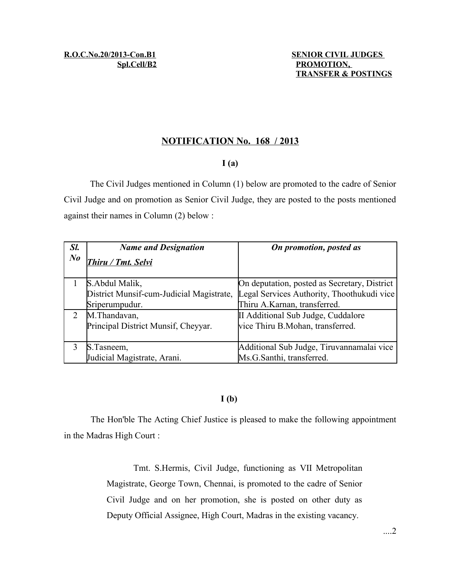## **NOTIFICATION No. 168 / 2013**

## **I (a)**

The Civil Judges mentioned in Column (1) below are promoted to the cadre of Senior Civil Judge and on promotion as Senior Civil Judge, they are posted to the posts mentioned against their names in Column (2) below :

| Sl.     | <b>Name and Designation</b>              | On promotion, posted as                      |
|---------|------------------------------------------|----------------------------------------------|
| $N_{0}$ | Thiru / Tmt. Selvi                       |                                              |
|         | S. Abdul Malik,                          | On deputation, posted as Secretary, District |
|         | District Munsif-cum-Judicial Magistrate, | Legal Services Authority, Thoothukudi vice   |
|         | Sriperumpudur.                           | Thiru A.Karnan, transferred.                 |
|         | M.Thandavan,                             | II Additional Sub Judge, Cuddalore           |
|         | Principal District Munsif, Cheyyar.      | vice Thiru B.Mohan, transferred.             |
|         | S.Tasneem,                               | Additional Sub Judge, Tiruvannamalai vice    |
|         | Judicial Magistrate, Arani.              | Ms.G.Santhi, transferred.                    |

## **I (b)**

The Hon'ble The Acting Chief Justice is pleased to make the following appointment in the Madras High Court :

> Tmt. S.Hermis, Civil Judge, functioning as VII Metropolitan Magistrate, George Town, Chennai, is promoted to the cadre of Senior Civil Judge and on her promotion, she is posted on other duty as Deputy Official Assignee, High Court, Madras in the existing vacancy.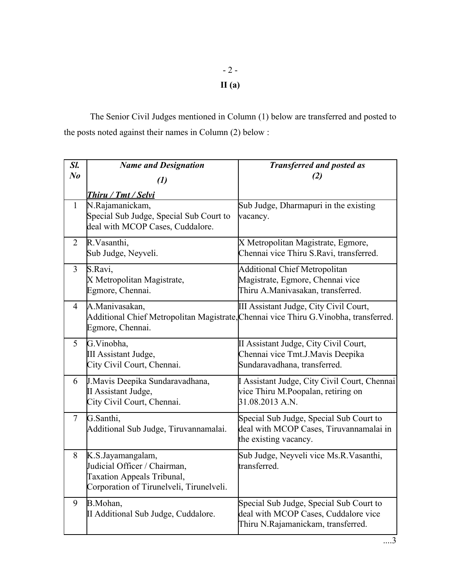# - 2 - **II (a)**

The Senior Civil Judges mentioned in Column (1) below are transferred and posted to the posts noted against their names in Column (2) below :

| Sl.            | <b>Name and Designation</b>                                                                                                        | <b>Transferred and posted as</b>                                                                                                |
|----------------|------------------------------------------------------------------------------------------------------------------------------------|---------------------------------------------------------------------------------------------------------------------------------|
| N <sub>o</sub> | $\left( l\right)$                                                                                                                  | (2)                                                                                                                             |
|                | <b>Thiru / Tmt / Selvi</b>                                                                                                         |                                                                                                                                 |
| $\mathbf{1}$   | N.Rajamanickam,<br>Special Sub Judge, Special Sub Court to<br>deal with MCOP Cases, Cuddalore.                                     | Sub Judge, Dharmapuri in the existing<br>vacancy.                                                                               |
| 2              | R.Vasanthi,<br>Sub Judge, Neyveli.                                                                                                 | X Metropolitan Magistrate, Egmore,<br>Chennai vice Thiru S.Ravi, transferred.                                                   |
| $\overline{3}$ | S.Ravi,<br>X Metropolitan Magistrate,<br>Egmore, Chennai.                                                                          | <b>Additional Chief Metropolitan</b><br>Magistrate, Egmore, Chennai vice<br>Thiru A.Manivasakan, transferred.                   |
| $\overline{4}$ | A.Manivasakan,<br>Egmore, Chennai.                                                                                                 | III Assistant Judge, City Civil Court,<br>Additional Chief Metropolitan Magistrate, Chennai vice Thiru G. Vinobha, transferred. |
| 5 <sup>1</sup> | G.Vinobha,<br>III Assistant Judge,<br>City Civil Court, Chennai.                                                                   | II Assistant Judge, City Civil Court,<br>Chennai vice Tmt.J.Mavis Deepika<br>Sundaravadhana, transferred.                       |
| 6              | J. Mavis Deepika Sundaravadhana,<br>II Assistant Judge,<br>City Civil Court, Chennai.                                              | Assistant Judge, City Civil Court, Chennai<br>vice Thiru M.Poopalan, retiring on<br>31.08.2013 A.N.                             |
| $\tau$         | G.Santhi,<br>Additional Sub Judge, Tiruvannamalai.                                                                                 | Special Sub Judge, Special Sub Court to<br>deal with MCOP Cases, Tiruvannamalai in<br>the existing vacancy.                     |
| 8              | K.S.Jayamangalam,<br>Judicial Officer / Chairman,<br><b>Taxation Appeals Tribunal,</b><br>Corporation of Tirunelveli, Tirunelveli. | Sub Judge, Neyveli vice Ms.R.Vasanthi,<br>transferred.                                                                          |
| 9              | B.Mohan,<br>II Additional Sub Judge, Cuddalore.                                                                                    | Special Sub Judge, Special Sub Court to<br>deal with MCOP Cases, Cuddalore vice<br>Thiru N.Rajamanickam, transferred.           |